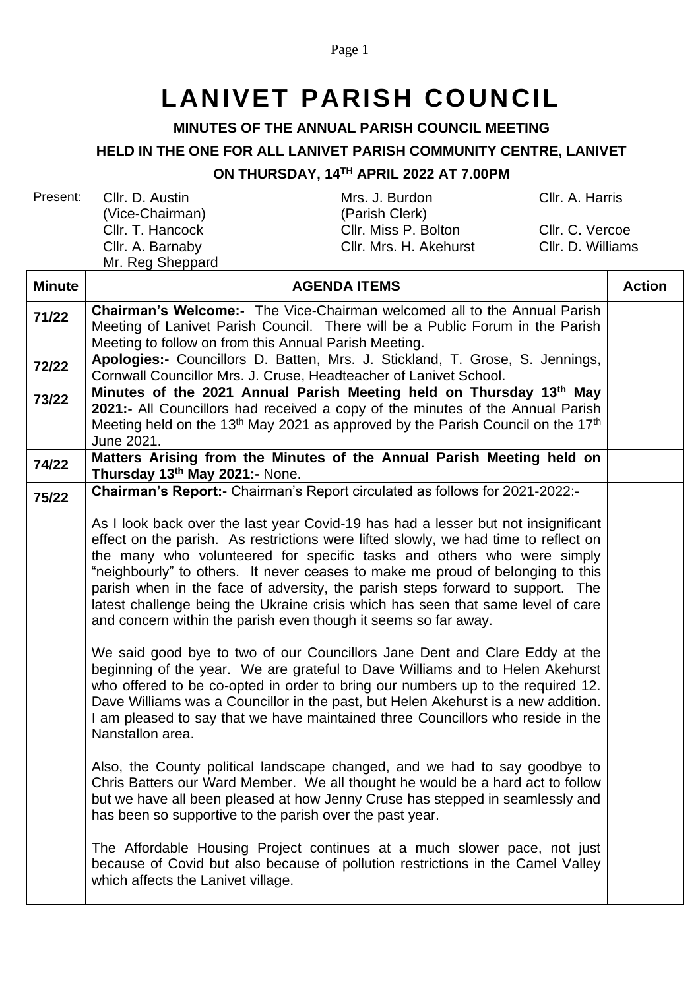Page 1

## **LANIVET PARISH COUNCIL**

## **MINUTES OF THE ANNUAL PARISH COUNCIL MEETING**

## **HELD IN THE ONE FOR ALL LANIVET PARISH COMMUNITY CENTRE, LANIVET**

## **ON THURSDAY, 14 TH APRIL 2022 AT 7.00PM**

| Present: | Cllr. D. Austin<br>(Vice-Chairman)<br>Cllr. T. Hancock | Mrs. J. Burdon<br>(Parish Clerk)<br>Cllr. Miss P. Bolton | Cllr. A. Harris<br>Cllr. C. Vercoe |
|----------|--------------------------------------------------------|----------------------------------------------------------|------------------------------------|
|          | Cllr. A. Barnaby<br>Mr. Reg Sheppard                   | Cllr. Mrs. H. Akehurst                                   | Cllr. D. Williams                  |
| Minute   |                                                        | <b>AGENDA ITEMS</b>                                      | <b>Action</b>                      |

| muuc  | טוום וו חשבושי                                                                                                                                                  | ווטווא |
|-------|-----------------------------------------------------------------------------------------------------------------------------------------------------------------|--------|
| 71/22 | <b>Chairman's Welcome:-</b> The Vice-Chairman welcomed all to the Annual Parish                                                                                 |        |
|       | Meeting of Lanivet Parish Council. There will be a Public Forum in the Parish                                                                                   |        |
|       | Meeting to follow on from this Annual Parish Meeting.                                                                                                           |        |
| 72/22 | Apologies:- Councillors D. Batten, Mrs. J. Stickland, T. Grose, S. Jennings,                                                                                    |        |
|       | Cornwall Councillor Mrs. J. Cruse, Headteacher of Lanivet School.                                                                                               |        |
| 73/22 | Minutes of the 2021 Annual Parish Meeting held on Thursday 13th May                                                                                             |        |
|       | 2021:- All Councillors had received a copy of the minutes of the Annual Parish                                                                                  |        |
|       | Meeting held on the 13 <sup>th</sup> May 2021 as approved by the Parish Council on the 17 <sup>th</sup>                                                         |        |
|       | June 2021.                                                                                                                                                      |        |
| 74/22 | Matters Arising from the Minutes of the Annual Parish Meeting held on<br>Thursday 13th May 2021:- None.                                                         |        |
| 75/22 | Chairman's Report:- Chairman's Report circulated as follows for 2021-2022:-                                                                                     |        |
|       | As I look back over the last year Covid-19 has had a lesser but not insignificant                                                                               |        |
|       | effect on the parish. As restrictions were lifted slowly, we had time to reflect on                                                                             |        |
|       | the many who volunteered for specific tasks and others who were simply                                                                                          |        |
|       | "neighbourly" to others. It never ceases to make me proud of belonging to this                                                                                  |        |
|       | parish when in the face of adversity, the parish steps forward to support. The                                                                                  |        |
|       | latest challenge being the Ukraine crisis which has seen that same level of care                                                                                |        |
|       | and concern within the parish even though it seems so far away.                                                                                                 |        |
|       |                                                                                                                                                                 |        |
|       | We said good bye to two of our Councillors Jane Dent and Clare Eddy at the<br>beginning of the year. We are grateful to Dave Williams and to Helen Akehurst     |        |
|       | who offered to be co-opted in order to bring our numbers up to the required 12.                                                                                 |        |
|       | Dave Williams was a Councillor in the past, but Helen Akehurst is a new addition.                                                                               |        |
|       | I am pleased to say that we have maintained three Councillors who reside in the                                                                                 |        |
|       | Nanstallon area.                                                                                                                                                |        |
|       |                                                                                                                                                                 |        |
|       | Also, the County political landscape changed, and we had to say goodbye to                                                                                      |        |
|       | Chris Batters our Ward Member. We all thought he would be a hard act to follow<br>but we have all been pleased at how Jenny Cruse has stepped in seamlessly and |        |
|       | has been so supportive to the parish over the past year.                                                                                                        |        |
|       |                                                                                                                                                                 |        |
|       | The Affordable Housing Project continues at a much slower pace, not just                                                                                        |        |
|       | because of Covid but also because of pollution restrictions in the Camel Valley                                                                                 |        |
|       | which affects the Lanivet village.                                                                                                                              |        |
|       |                                                                                                                                                                 |        |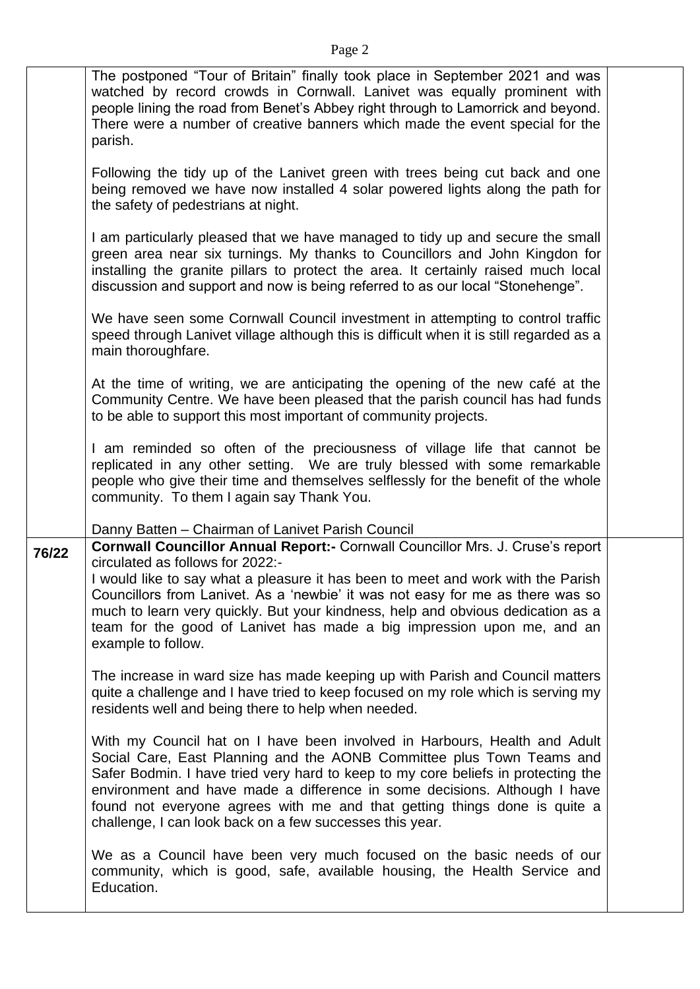|       | The postponed "Tour of Britain" finally took place in September 2021 and was<br>watched by record crowds in Cornwall. Lanivet was equally prominent with<br>people lining the road from Benet's Abbey right through to Lamorrick and beyond.<br>There were a number of creative banners which made the event special for the<br>parish.                                                                                                                                            |  |
|-------|------------------------------------------------------------------------------------------------------------------------------------------------------------------------------------------------------------------------------------------------------------------------------------------------------------------------------------------------------------------------------------------------------------------------------------------------------------------------------------|--|
|       | Following the tidy up of the Lanivet green with trees being cut back and one<br>being removed we have now installed 4 solar powered lights along the path for<br>the safety of pedestrians at night.                                                                                                                                                                                                                                                                               |  |
|       | I am particularly pleased that we have managed to tidy up and secure the small<br>green area near six turnings. My thanks to Councillors and John Kingdon for<br>installing the granite pillars to protect the area. It certainly raised much local<br>discussion and support and now is being referred to as our local "Stonehenge".                                                                                                                                              |  |
|       | We have seen some Cornwall Council investment in attempting to control traffic<br>speed through Lanivet village although this is difficult when it is still regarded as a<br>main thoroughfare.                                                                                                                                                                                                                                                                                    |  |
|       | At the time of writing, we are anticipating the opening of the new café at the<br>Community Centre. We have been pleased that the parish council has had funds<br>to be able to support this most important of community projects.                                                                                                                                                                                                                                                 |  |
|       | I am reminded so often of the preciousness of village life that cannot be<br>replicated in any other setting. We are truly blessed with some remarkable<br>people who give their time and themselves selflessly for the benefit of the whole<br>community. To them I again say Thank You.                                                                                                                                                                                          |  |
|       | Danny Batten - Chairman of Lanivet Parish Council                                                                                                                                                                                                                                                                                                                                                                                                                                  |  |
| 76/22 | <b>Cornwall Councillor Annual Report:- Cornwall Councillor Mrs. J. Cruse's report</b><br>circulated as follows for 2022:-<br>I would like to say what a pleasure it has been to meet and work with the Parish<br>Councillors from Lanivet. As a 'newbie' it was not easy for me as there was so<br>much to learn very quickly. But your kindness, help and obvious dedication as a<br>team for the good of Lanivet has made a big impression upon me, and an<br>example to follow. |  |
|       | The increase in ward size has made keeping up with Parish and Council matters<br>quite a challenge and I have tried to keep focused on my role which is serving my<br>residents well and being there to help when needed.                                                                                                                                                                                                                                                          |  |
|       | With my Council hat on I have been involved in Harbours, Health and Adult<br>Social Care, East Planning and the AONB Committee plus Town Teams and<br>Safer Bodmin. I have tried very hard to keep to my core beliefs in protecting the<br>environment and have made a difference in some decisions. Although I have<br>found not everyone agrees with me and that getting things done is quite a<br>challenge, I can look back on a few successes this year.                      |  |
|       | We as a Council have been very much focused on the basic needs of our<br>community, which is good, safe, available housing, the Health Service and<br>Education.                                                                                                                                                                                                                                                                                                                   |  |
|       |                                                                                                                                                                                                                                                                                                                                                                                                                                                                                    |  |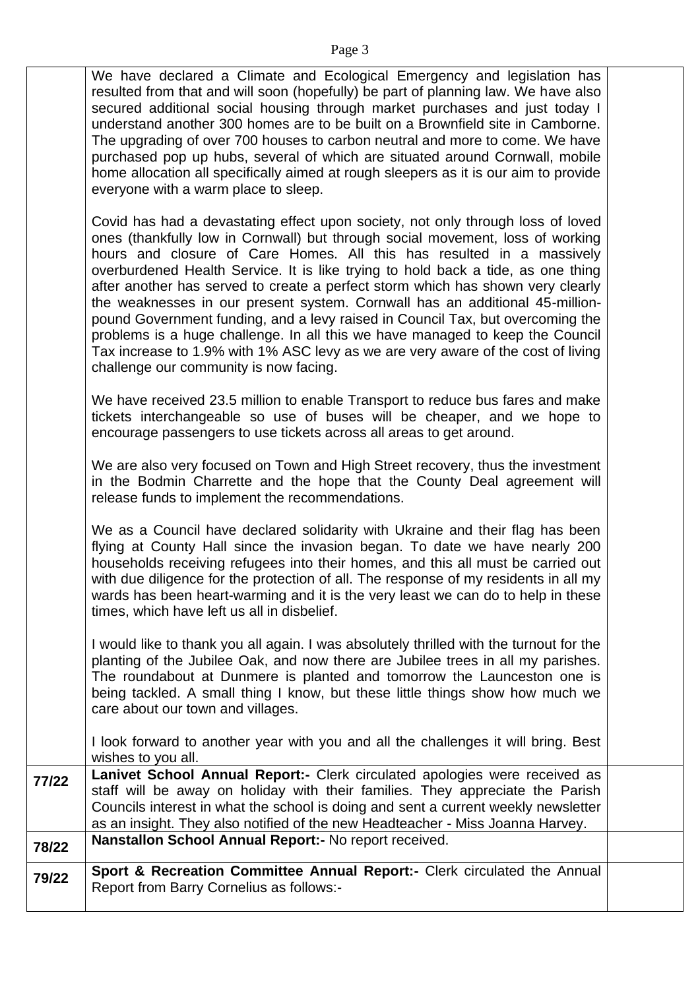|       | We have declared a Climate and Ecological Emergency and legislation has<br>resulted from that and will soon (hopefully) be part of planning law. We have also<br>secured additional social housing through market purchases and just today I<br>understand another 300 homes are to be built on a Brownfield site in Camborne.<br>The upgrading of over 700 houses to carbon neutral and more to come. We have<br>purchased pop up hubs, several of which are situated around Cornwall, mobile<br>home allocation all specifically aimed at rough sleepers as it is our aim to provide<br>everyone with a warm place to sleep.                                                                                                                                                                     |  |
|-------|----------------------------------------------------------------------------------------------------------------------------------------------------------------------------------------------------------------------------------------------------------------------------------------------------------------------------------------------------------------------------------------------------------------------------------------------------------------------------------------------------------------------------------------------------------------------------------------------------------------------------------------------------------------------------------------------------------------------------------------------------------------------------------------------------|--|
|       | Covid has had a devastating effect upon society, not only through loss of loved<br>ones (thankfully low in Cornwall) but through social movement, loss of working<br>hours and closure of Care Homes. All this has resulted in a massively<br>overburdened Health Service. It is like trying to hold back a tide, as one thing<br>after another has served to create a perfect storm which has shown very clearly<br>the weaknesses in our present system. Cornwall has an additional 45-million-<br>pound Government funding, and a levy raised in Council Tax, but overcoming the<br>problems is a huge challenge. In all this we have managed to keep the Council<br>Tax increase to 1.9% with 1% ASC levy as we are very aware of the cost of living<br>challenge our community is now facing. |  |
|       | We have received 23.5 million to enable Transport to reduce bus fares and make<br>tickets interchangeable so use of buses will be cheaper, and we hope to<br>encourage passengers to use tickets across all areas to get around.                                                                                                                                                                                                                                                                                                                                                                                                                                                                                                                                                                   |  |
|       | We are also very focused on Town and High Street recovery, thus the investment<br>in the Bodmin Charrette and the hope that the County Deal agreement will<br>release funds to implement the recommendations.                                                                                                                                                                                                                                                                                                                                                                                                                                                                                                                                                                                      |  |
|       | We as a Council have declared solidarity with Ukraine and their flag has been<br>flying at County Hall since the invasion began. To date we have nearly 200<br>households receiving refugees into their homes, and this all must be carried out<br>with due diligence for the protection of all. The response of my residents in all my<br>wards has been heart-warming and it is the very least we can do to help in these<br>times, which have left us all in disbelief.                                                                                                                                                                                                                                                                                                                         |  |
|       | I would like to thank you all again. I was absolutely thrilled with the turnout for the<br>planting of the Jubilee Oak, and now there are Jubilee trees in all my parishes.<br>The roundabout at Dunmere is planted and tomorrow the Launceston one is<br>being tackled. A small thing I know, but these little things show how much we<br>care about our town and villages.                                                                                                                                                                                                                                                                                                                                                                                                                       |  |
|       | I look forward to another year with you and all the challenges it will bring. Best<br>wishes to you all.                                                                                                                                                                                                                                                                                                                                                                                                                                                                                                                                                                                                                                                                                           |  |
| 77/22 | Lanivet School Annual Report:- Clerk circulated apologies were received as<br>staff will be away on holiday with their families. They appreciate the Parish<br>Councils interest in what the school is doing and sent a current weekly newsletter<br>as an insight. They also notified of the new Headteacher - Miss Joanna Harvey.                                                                                                                                                                                                                                                                                                                                                                                                                                                                |  |
| 78/22 | Nanstallon School Annual Report:- No report received.                                                                                                                                                                                                                                                                                                                                                                                                                                                                                                                                                                                                                                                                                                                                              |  |
| 79/22 | Sport & Recreation Committee Annual Report:- Clerk circulated the Annual<br>Report from Barry Cornelius as follows:-                                                                                                                                                                                                                                                                                                                                                                                                                                                                                                                                                                                                                                                                               |  |
|       |                                                                                                                                                                                                                                                                                                                                                                                                                                                                                                                                                                                                                                                                                                                                                                                                    |  |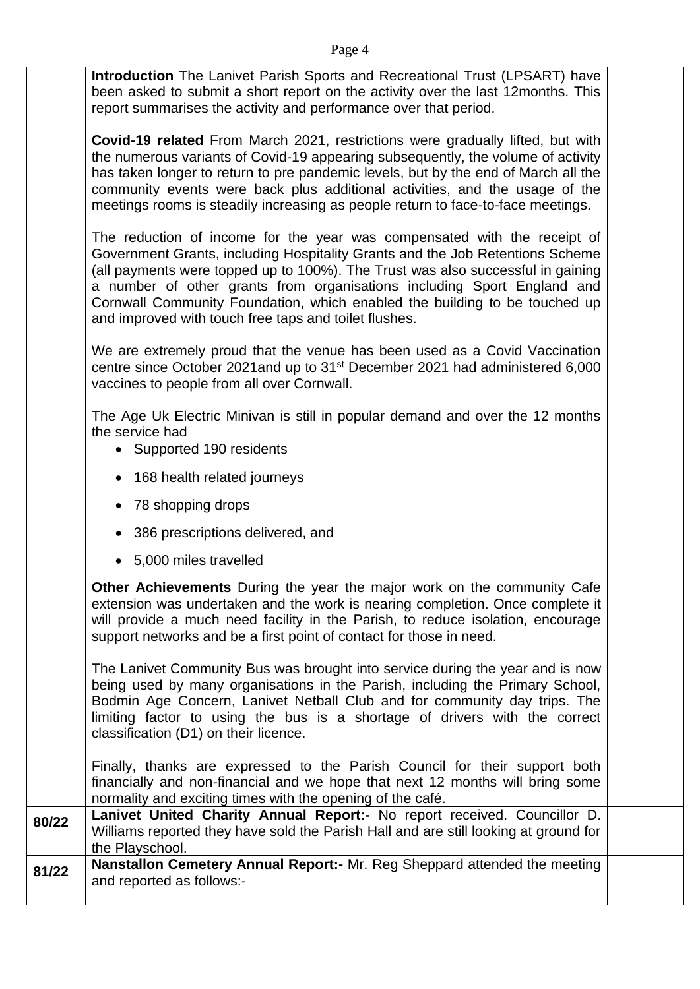**Introduction** The Lanivet Parish Sports and Recreational Trust (LPSART) have been asked to submit a short report on the activity over the last 12months. This report summarises the activity and performance over that period.

**Covid-19 related** From March 2021, restrictions were gradually lifted, but with the numerous variants of Covid-19 appearing subsequently, the volume of activity has taken longer to return to pre pandemic levels, but by the end of March all the community events were back plus additional activities, and the usage of the meetings rooms is steadily increasing as people return to face-to-face meetings.

The reduction of income for the year was compensated with the receipt of Government Grants, including Hospitality Grants and the Job Retentions Scheme (all payments were topped up to 100%). The Trust was also successful in gaining a number of other grants from organisations including Sport England and Cornwall Community Foundation, which enabled the building to be touched up and improved with touch free taps and toilet flushes.

We are extremely proud that the venue has been used as a Covid Vaccination centre since October 2021and up to 31st December 2021 had administered 6,000 vaccines to people from all over Cornwall.

The Age Uk Electric Minivan is still in popular demand and over the 12 months the service had

- Supported 190 residents
- 168 health related journeys
- 78 shopping drops
- 386 prescriptions delivered, and
- 5,000 miles travelled

**Other Achievements** During the year the major work on the community Cafe extension was undertaken and the work is nearing completion. Once complete it will provide a much need facility in the Parish, to reduce isolation, encourage support networks and be a first point of contact for those in need.

The Lanivet Community Bus was brought into service during the year and is now being used by many organisations in the Parish, including the Primary School, Bodmin Age Concern, Lanivet Netball Club and for community day trips. The limiting factor to using the bus is a shortage of drivers with the correct classification (D1) on their licence.

Finally, thanks are expressed to the Parish Council for their support both financially and non-financial and we hope that next 12 months will bring some normality and exciting times with the opening of the café.

| 80/22 | Lanivet United Charity Annual Report:- No report received. Councillor D.<br>Williams reported they have sold the Parish Hall and are still looking at ground for<br>the Playschool. |  |
|-------|-------------------------------------------------------------------------------------------------------------------------------------------------------------------------------------|--|
| 81/22 | Nanstallon Cemetery Annual Report:- Mr. Reg Sheppard attended the meeting<br>and reported as follows:-                                                                              |  |